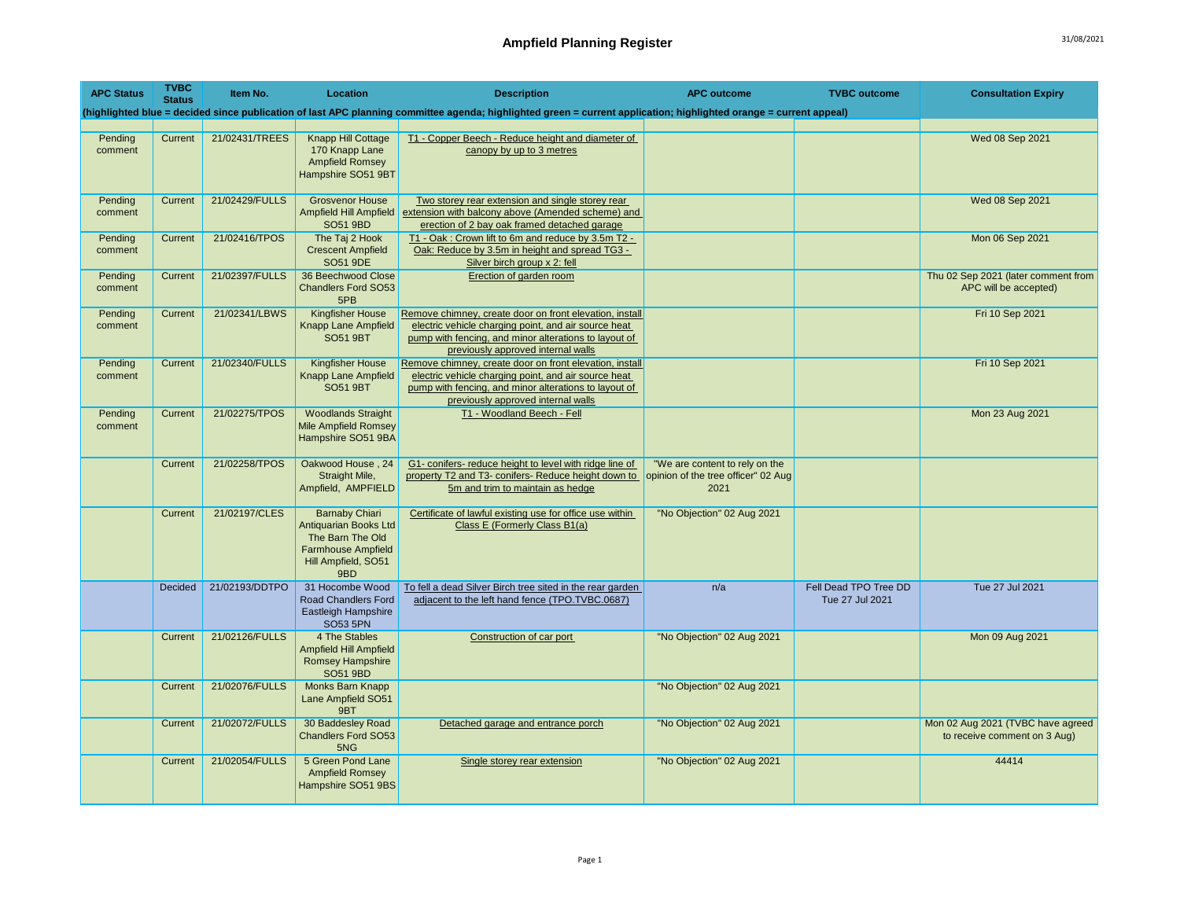| <b>APC Status</b>  | <b>TVBC</b><br><b>Status</b> | Item No.       | Location                                                                                                                             | <b>Description</b>                                                                                                                                                                                             | <b>APC outcome</b>                                                            | <b>TVBC</b> outcome                      | <b>Consultation Expiry</b>                                        |
|--------------------|------------------------------|----------------|--------------------------------------------------------------------------------------------------------------------------------------|----------------------------------------------------------------------------------------------------------------------------------------------------------------------------------------------------------------|-------------------------------------------------------------------------------|------------------------------------------|-------------------------------------------------------------------|
|                    |                              |                |                                                                                                                                      | (highlighted blue = decided since publication of last APC planning committee agenda; highlighted green = current application; highlighted orange = current appeal)                                             |                                                                               |                                          |                                                                   |
| Pending<br>comment | Current                      | 21/02431/TREES | <b>Knapp Hill Cottage</b><br>170 Knapp Lane<br><b>Ampfield Romsey</b><br>Hampshire SO51 9BT                                          | T1 - Copper Beech - Reduce height and diameter of<br>canopy by up to 3 metres                                                                                                                                  |                                                                               |                                          | Wed 08 Sep 2021                                                   |
| Pendina<br>comment | Current                      | 21/02429/FULLS | <b>Grosvenor House</b><br><b>Ampfield Hill Ampfield</b><br>SO51 9BD                                                                  | Two storey rear extension and single storey rear<br>extension with balcony above (Amended scheme) and<br>erection of 2 bay oak framed detached garage                                                          |                                                                               |                                          | Wed 08 Sep 2021                                                   |
| Pending<br>comment | Current                      | 21/02416/TPOS  | The Taj 2 Hook<br><b>Crescent Ampfield</b><br><b>SO51 9DE</b>                                                                        | T1 - Oak: Crown lift to 6m and reduce by 3.5m T2 -<br>Oak: Reduce by 3.5m in height and spread TG3 -<br>Silver birch group x 2: fell                                                                           |                                                                               |                                          | Mon 06 Sep 2021                                                   |
| Pending<br>comment | Current                      | 21/02397/FULLS | 36 Beechwood Close<br><b>Chandlers Ford SO53</b><br>5PB                                                                              | Erection of garden room                                                                                                                                                                                        |                                                                               |                                          | Thu 02 Sep 2021 (later comment from<br>APC will be accepted)      |
| Pending<br>comment | Current                      | 21/02341/LBWS  | <b>Kingfisher House</b><br><b>Knapp Lane Ampfield</b><br><b>SO51 9BT</b>                                                             | Remove chimney, create door on front elevation, install<br>electric vehicle charging point, and air source heat<br>pump with fencing, and minor alterations to layout of<br>previously approved internal walls |                                                                               |                                          | Fri 10 Sep 2021                                                   |
| Pending<br>comment | Current                      | 21/02340/FULLS | <b>Kingfisher House</b><br><b>Knapp Lane Ampfield</b><br><b>SO51 9BT</b>                                                             | Remove chimney, create door on front elevation, install<br>electric vehicle charging point, and air source heat<br>pump with fencing, and minor alterations to layout of<br>previously approved internal walls |                                                                               |                                          | Fri 10 Sep 2021                                                   |
| Pending<br>comment | Current                      | 21/02275/TPOS  | <b>Woodlands Straight</b><br><b>Mile Ampfield Romsey</b><br>Hampshire SO51 9BA                                                       | T1 - Woodland Beech - Fell                                                                                                                                                                                     |                                                                               |                                          | Mon 23 Aug 2021                                                   |
|                    | Current                      | 21/02258/TPOS  | Oakwood House, 24<br>Straight Mile,<br>Ampfield, AMPFIELD                                                                            | G1- conifers- reduce height to level with ridge line of<br>property T2 and T3- conifers- Reduce height down to<br>5m and trim to maintain as hedge                                                             | "We are content to rely on the<br>opinion of the tree officer" 02 Aug<br>2021 |                                          |                                                                   |
|                    | Current                      | 21/02197/CLES  | <b>Barnaby Chiari</b><br><b>Antiquarian Books Ltd</b><br>The Barn The Old<br><b>Farmhouse Ampfield</b><br>Hill Ampfield, SO51<br>9BD | Certificate of lawful existing use for office use within<br>Class E (Formerly Class B1(a)                                                                                                                      | "No Objection" 02 Aug 2021                                                    |                                          |                                                                   |
|                    | Decided                      | 21/02193/DDTPO | 31 Hocombe Wood<br><b>Road Chandlers Ford</b><br><b>Eastleigh Hampshire</b><br><b>SO53 5PN</b>                                       | To fell a dead Silver Birch tree sited in the rear garden<br>adjacent to the left hand fence (TPO.TVBC.0687)                                                                                                   | n/a                                                                           | Fell Dead TPO Tree DD<br>Tue 27 Jul 2021 | Tue 27 Jul 2021                                                   |
|                    | Current                      | 21/02126/FULLS | 4 The Stables<br><b>Ampfield Hill Ampfield</b><br><b>Romsey Hampshire</b><br><b>SO51 9BD</b>                                         | Construction of car port                                                                                                                                                                                       | "No Objection" 02 Aug 2021                                                    |                                          | Mon 09 Aug 2021                                                   |
|                    | Current                      | 21/02076/FULLS | Monks Barn Knapp<br>Lane Ampfield SO51<br>9BT                                                                                        |                                                                                                                                                                                                                | "No Objection" 02 Aug 2021                                                    |                                          |                                                                   |
|                    | Current                      | 21/02072/FULLS | 30 Baddesley Road<br><b>Chandlers Ford SO53</b><br>5NG                                                                               | Detached garage and entrance porch                                                                                                                                                                             | "No Objection" 02 Aug 2021                                                    |                                          | Mon 02 Aug 2021 (TVBC have agreed<br>to receive comment on 3 Aug) |
|                    | Current                      | 21/02054/FULLS | 5 Green Pond Lane<br><b>Ampfield Romsey</b><br>Hampshire SO51 9BS                                                                    | Single storey rear extension                                                                                                                                                                                   | "No Objection" 02 Aug 2021                                                    |                                          | 44414                                                             |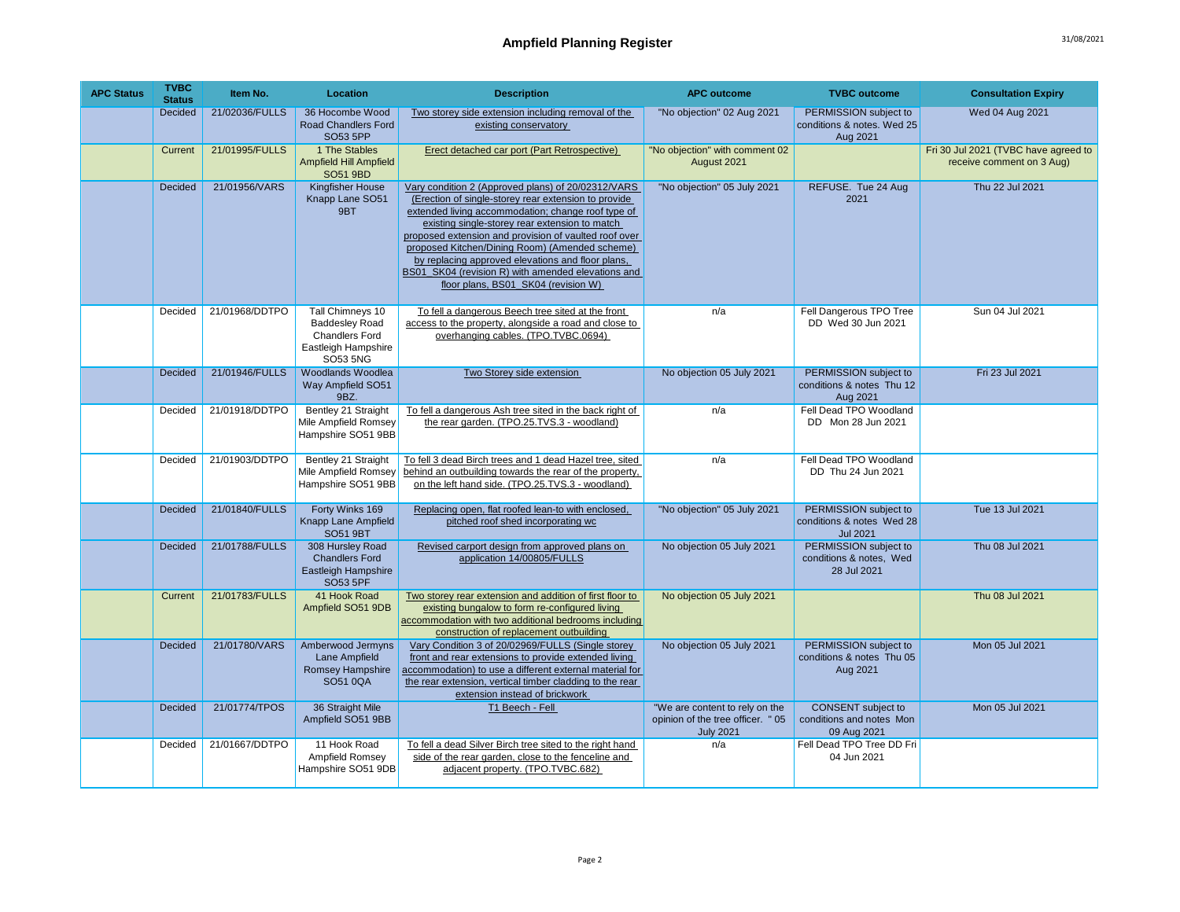| <b>APC Status</b> | <b>TVBC</b><br><b>Status</b> | Item No.       | <b>Location</b>                                                                                       | <b>Description</b>                                                                                                                                                                                                                                                                                                                                                                                                                                                              | <b>APC outcome</b>                                                                      | <b>TVBC</b> outcome                                                   | <b>Consultation Expiry</b>                                        |
|-------------------|------------------------------|----------------|-------------------------------------------------------------------------------------------------------|---------------------------------------------------------------------------------------------------------------------------------------------------------------------------------------------------------------------------------------------------------------------------------------------------------------------------------------------------------------------------------------------------------------------------------------------------------------------------------|-----------------------------------------------------------------------------------------|-----------------------------------------------------------------------|-------------------------------------------------------------------|
|                   | Decided                      | 21/02036/FULLS | 36 Hocombe Wood<br><b>Road Chandlers Ford</b><br><b>SO53 5PP</b>                                      | Two storey side extension including removal of the<br>existing conservatory                                                                                                                                                                                                                                                                                                                                                                                                     | "No objection" 02 Aug 2021                                                              | PERMISSION subject to<br>conditions & notes. Wed 25<br>Aug 2021       | Wed 04 Aug 2021                                                   |
|                   | Current                      | 21/01995/FULLS | 1 The Stables<br><b>Ampfield Hill Ampfield</b><br><b>SO51 9BD</b>                                     | Erect detached car port (Part Retrospective)                                                                                                                                                                                                                                                                                                                                                                                                                                    | "No objection" with comment 02<br>August 2021                                           |                                                                       | Fri 30 Jul 2021 (TVBC have agreed to<br>receive comment on 3 Aug) |
|                   | <b>Decided</b>               | 21/01956/VARS  | <b>Kingfisher House</b><br>Knapp Lane SO51<br>9BT                                                     | Vary condition 2 (Approved plans) of 20/02312/VARS<br>(Erection of single-storey rear extension to provide<br>extended living accommodation; change roof type of<br>existing single-storey rear extension to match<br>proposed extension and provision of vaulted roof over<br>proposed Kitchen/Dining Room) (Amended scheme)<br>by replacing approved elevations and floor plans,<br>BS01 SK04 (revision R) with amended elevations and<br>floor plans, BS01 SK04 (revision W) | "No objection" 05 July 2021                                                             | REFUSE. Tue 24 Aug<br>2021                                            | Thu 22 Jul 2021                                                   |
|                   | Decided                      | 21/01968/DDTPO | Tall Chimneys 10<br><b>Baddesley Road</b><br><b>Chandlers Ford</b><br>Eastleigh Hampshire<br>SO53 5NG | To fell a dangerous Beech tree sited at the front<br>access to the property, alongside a road and close to<br>overhanging cables. (TPO.TVBC.0694)                                                                                                                                                                                                                                                                                                                               | n/a                                                                                     | Fell Dangerous TPO Tree<br>DD Wed 30 Jun 2021                         | Sun 04 Jul 2021                                                   |
|                   | Decided                      | 21/01946/FULLS | Woodlands Woodlea<br>Way Ampfield SO51<br>9BZ.                                                        | Two Storey side extension                                                                                                                                                                                                                                                                                                                                                                                                                                                       | No objection 05 July 2021                                                               | PERMISSION subject to<br>conditions & notes Thu 12<br>Aug 2021        | Fri 23 Jul 2021                                                   |
|                   | Decided                      | 21/01918/DDTPO | Bentley 21 Straight<br>Mile Ampfield Romsey<br>Hampshire SO51 9BB                                     | To fell a dangerous Ash tree sited in the back right of<br>the rear garden. (TPO.25.TVS.3 - woodland)                                                                                                                                                                                                                                                                                                                                                                           | n/a                                                                                     | Fell Dead TPO Woodland<br>DD Mon 28 Jun 2021                          |                                                                   |
|                   | Decided                      | 21/01903/DDTPO | Bentley 21 Straight<br>Mile Ampfield Romsey<br>Hampshire SO51 9BB                                     | To fell 3 dead Birch trees and 1 dead Hazel tree, sited<br>behind an outbuilding towards the rear of the property,<br>on the left hand side. (TPO.25.TVS.3 - woodland)                                                                                                                                                                                                                                                                                                          | n/a                                                                                     | Fell Dead TPO Woodland<br>DD Thu 24 Jun 2021                          |                                                                   |
|                   | Decided                      | 21/01840/FULLS | Forty Winks 169<br>Knapp Lane Ampfield<br><b>SO51 9BT</b>                                             | Replacing open, flat roofed lean-to with enclosed,<br>pitched roof shed incorporating wc                                                                                                                                                                                                                                                                                                                                                                                        | "No objection" 05 July 2021                                                             | PERMISSION subject to<br>conditions & notes Wed 28<br><b>Jul 2021</b> | Tue 13 Jul 2021                                                   |
|                   | Decided                      | 21/01788/FULLS | 308 Hursley Road<br><b>Chandlers Ford</b><br>Eastleigh Hampshire<br>SO53 5PF                          | Revised carport design from approved plans on<br>application 14/00805/FULLS                                                                                                                                                                                                                                                                                                                                                                                                     | No objection 05 July 2021                                                               | PERMISSION subject to<br>conditions & notes, Wed<br>28 Jul 2021       | Thu 08 Jul 2021                                                   |
|                   | Current                      | 21/01783/FULLS | 41 Hook Road<br>Ampfield SO51 9DB                                                                     | Two storey rear extension and addition of first floor to<br>existing bungalow to form re-configured living<br>accommodation with two additional bedrooms including<br>construction of replacement outbuilding                                                                                                                                                                                                                                                                   | No objection 05 July 2021                                                               |                                                                       | Thu 08 Jul 2021                                                   |
|                   | Decided                      | 21/01780/VARS  | Amberwood Jermyns<br>Lane Ampfield<br>Romsey Hampshire<br>SO51 0QA                                    | Vary Condition 3 of 20/02969/FULLS (Single storey<br>front and rear extensions to provide extended living<br>accommodation) to use a different external material for<br>the rear extension, vertical timber cladding to the rear<br>extension instead of brickwork                                                                                                                                                                                                              | No objection 05 July 2021                                                               | PERMISSION subject to<br>conditions & notes Thu 05<br>Aug 2021        | Mon 05 Jul 2021                                                   |
|                   | Decided                      | 21/01774/TPOS  | 36 Straight Mile<br>Ampfield SO51 9BB                                                                 | T1 Beech - Fell                                                                                                                                                                                                                                                                                                                                                                                                                                                                 | "We are content to rely on the<br>opinion of the tree officer. " 05<br><b>July 2021</b> | <b>CONSENT</b> subject to<br>conditions and notes Mon<br>09 Aug 2021  | Mon 05 Jul 2021                                                   |
|                   | Decided                      | 21/01667/DDTPO | 11 Hook Road<br>Ampfield Romsey<br>Hampshire SO51 9DB                                                 | To fell a dead Silver Birch tree sited to the right hand<br>side of the rear garden, close to the fenceline and<br>adjacent property. (TPO.TVBC.682)                                                                                                                                                                                                                                                                                                                            | n/a                                                                                     | Fell Dead TPO Tree DD Fri<br>04 Jun 2021                              |                                                                   |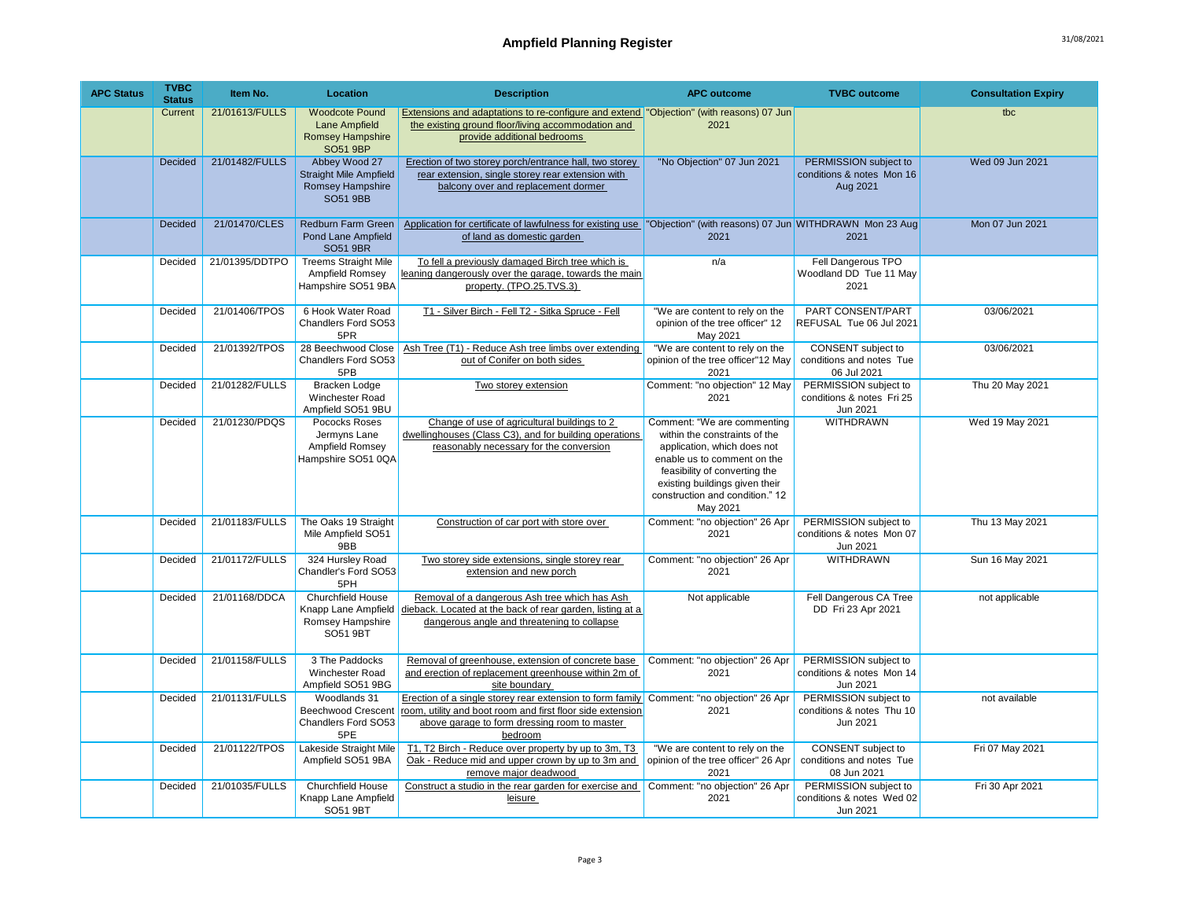| <b>APC Status</b> | <b>TVBC</b><br><b>Status</b> | Item No.       | Location                                                                                     | <b>Description</b>                                                                                                                                                                 | <b>APC outcome</b>                                                                                                                                                                                                                           | <b>TVBC</b> outcome                                            | <b>Consultation Expiry</b> |
|-------------------|------------------------------|----------------|----------------------------------------------------------------------------------------------|------------------------------------------------------------------------------------------------------------------------------------------------------------------------------------|----------------------------------------------------------------------------------------------------------------------------------------------------------------------------------------------------------------------------------------------|----------------------------------------------------------------|----------------------------|
|                   | Current                      | 21/01613/FULLS | <b>Woodcote Pound</b><br>Lane Ampfield<br><b>Romsey Hampshire</b><br><b>SO51 9BP</b>         | Extensions and adaptations to re-configure and extend   "Objection" (with reasons) 07 Jun<br>the existing ground floor/living accommodation and<br>provide additional bedrooms     | 2021                                                                                                                                                                                                                                         |                                                                | tbc                        |
|                   | Decided                      | 21/01482/FULLS | Abbey Wood 27<br><b>Straight Mile Ampfield</b><br><b>Romsey Hampshire</b><br><b>SO51 9BB</b> | Erection of two storey porch/entrance hall, two storey<br>rear extension, single storey rear extension with<br>balcony over and replacement dormer                                 | "No Objection" 07 Jun 2021                                                                                                                                                                                                                   | PERMISSION subject to<br>conditions & notes Mon 16<br>Aug 2021 | Wed 09 Jun 2021            |
|                   | Decided                      | 21/01470/CLES  | Redburn Farm Green<br><b>Pond Lane Ampfield</b><br><b>SO51 9BR</b>                           | Application for certificate of lawfulness for existing use  "Objection" (with reasons) 07 Jun WITHDRAWN Mon 23 Aug<br>of land as domestic garden                                   | 2021                                                                                                                                                                                                                                         | 2021                                                           | Mon 07 Jun 2021            |
|                   | Decided                      | 21/01395/DDTPO | <b>Treems Straight Mile</b><br>Ampfield Romsey<br>Hampshire SO51 9BA                         | To fell a previously damaged Birch tree which is<br>leaning dangerously over the garage, towards the main<br>property. (TPO.25.TVS.3)                                              | n/a                                                                                                                                                                                                                                          | Fell Dangerous TPO<br>Woodland DD Tue 11 May<br>2021           |                            |
|                   | Decided                      | 21/01406/TPOS  | 6 Hook Water Road<br>Chandlers Ford SO53<br>5PR                                              | T1 - Silver Birch - Fell T2 - Sitka Spruce - Fell                                                                                                                                  | "We are content to rely on the<br>opinion of the tree officer" 12<br>May 2021                                                                                                                                                                | PART CONSENT/PART<br>REFUSAL Tue 06 Jul 2021                   | 03/06/2021                 |
|                   | Decided                      | 21/01392/TPOS  | 28 Beechwood Close<br>Chandlers Ford SO53<br>5PB                                             | Ash Tree (T1) - Reduce Ash tree limbs over extending<br>out of Conifer on both sides                                                                                               | "We are content to rely on the<br>opinion of the tree officer"12 May<br>2021                                                                                                                                                                 | CONSENT subject to<br>conditions and notes Tue<br>06 Jul 2021  | 03/06/2021                 |
|                   | Decided                      | 21/01282/FULLS | <b>Bracken Lodge</b><br><b>Winchester Road</b><br>Ampfield SO51 9BU                          | Two storey extension                                                                                                                                                               | Comment: "no objection" 12 May<br>2021                                                                                                                                                                                                       | PERMISSION subject to<br>conditions & notes Fri 25<br>Jun 2021 | Thu 20 May 2021            |
|                   | Decided                      | 21/01230/PDQS  | Pococks Roses<br>Jermyns Lane<br>Ampfield Romsey<br>Hampshire SO51 0QA                       | Change of use of agricultural buildings to 2<br>dwellinghouses (Class C3), and for building operations<br>reasonably necessary for the conversion                                  | Comment: "We are commenting<br>within the constraints of the<br>application, which does not<br>enable us to comment on the<br>feasibility of converting the<br>existing buildings given their<br>construction and condition." 12<br>May 2021 | <b>WITHDRAWN</b>                                               | Wed 19 May 2021            |
|                   | Decided                      | 21/01183/FULLS | The Oaks 19 Straight<br>Mile Ampfield SO51<br>9BB                                            | Construction of car port with store over                                                                                                                                           | Comment: "no objection" 26 Apr<br>2021                                                                                                                                                                                                       | PERMISSION subject to<br>conditions & notes Mon 07<br>Jun 2021 | Thu 13 May 2021            |
|                   | Decided                      | 21/01172/FULLS | 324 Hursley Road<br>Chandler's Ford SO53<br>5PH                                              | Two storey side extensions, single storey rear<br>extension and new porch                                                                                                          | Comment: "no objection" 26 Apr<br>2021                                                                                                                                                                                                       | <b>WITHDRAWN</b>                                               | Sun 16 May 2021            |
|                   | Decided                      | 21/01168/DDCA  | <b>Churchfield House</b><br>Knapp Lane Ampfield<br>Romsey Hampshire<br>SO51 9BT              | Removal of a dangerous Ash tree which has Ash<br>dieback. Located at the back of rear garden, listing at a<br>dangerous angle and threatening to collapse                          | Not applicable                                                                                                                                                                                                                               | Fell Dangerous CA Tree<br>DD Fri 23 Apr 2021                   | not applicable             |
|                   | Decided                      | 21/01158/FULLS | 3 The Paddocks<br>Winchester Road<br>Ampfield SO51 9BG                                       | Removal of greenhouse, extension of concrete base<br>and erection of replacement greenhouse within 2m of<br>site boundary                                                          | Comment: "no objection" 26 Apr<br>2021                                                                                                                                                                                                       | PERMISSION subject to<br>conditions & notes Mon 14<br>Jun 2021 |                            |
|                   | Decided                      | 21/01131/FULLS | Woodlands 31<br><b>Beechwood Crescent</b><br>Chandlers Ford SO53<br>5PE                      | Erection of a single storey rear extension to form family<br>room, utility and boot room and first floor side extension<br>above garage to form dressing room to master<br>bedroom | Comment: "no objection" 26 Apr<br>2021                                                                                                                                                                                                       | PERMISSION subject to<br>conditions & notes Thu 10<br>Jun 2021 | not available              |
|                   | Decided                      | 21/01122/TPOS  | Lakeside Straight Mile<br>Ampfield SO51 9BA                                                  | T1, T2 Birch - Reduce over property by up to 3m, T3<br>Oak - Reduce mid and upper crown by up to 3m and<br>remove major deadwood                                                   | "We are content to rely on the<br>opinion of the tree officer" 26 Apr<br>2021                                                                                                                                                                | CONSENT subject to<br>conditions and notes Tue<br>08 Jun 2021  | Fri 07 May 2021            |
|                   | Decided                      | 21/01035/FULLS | Churchfield House<br>Knapp Lane Ampfield<br>SO51 9BT                                         | Construct a studio in the rear garden for exercise and<br>leisure                                                                                                                  | Comment: "no objection" 26 Apr<br>2021                                                                                                                                                                                                       | PERMISSION subject to<br>conditions & notes Wed 02<br>Jun 2021 | Fri 30 Apr 2021            |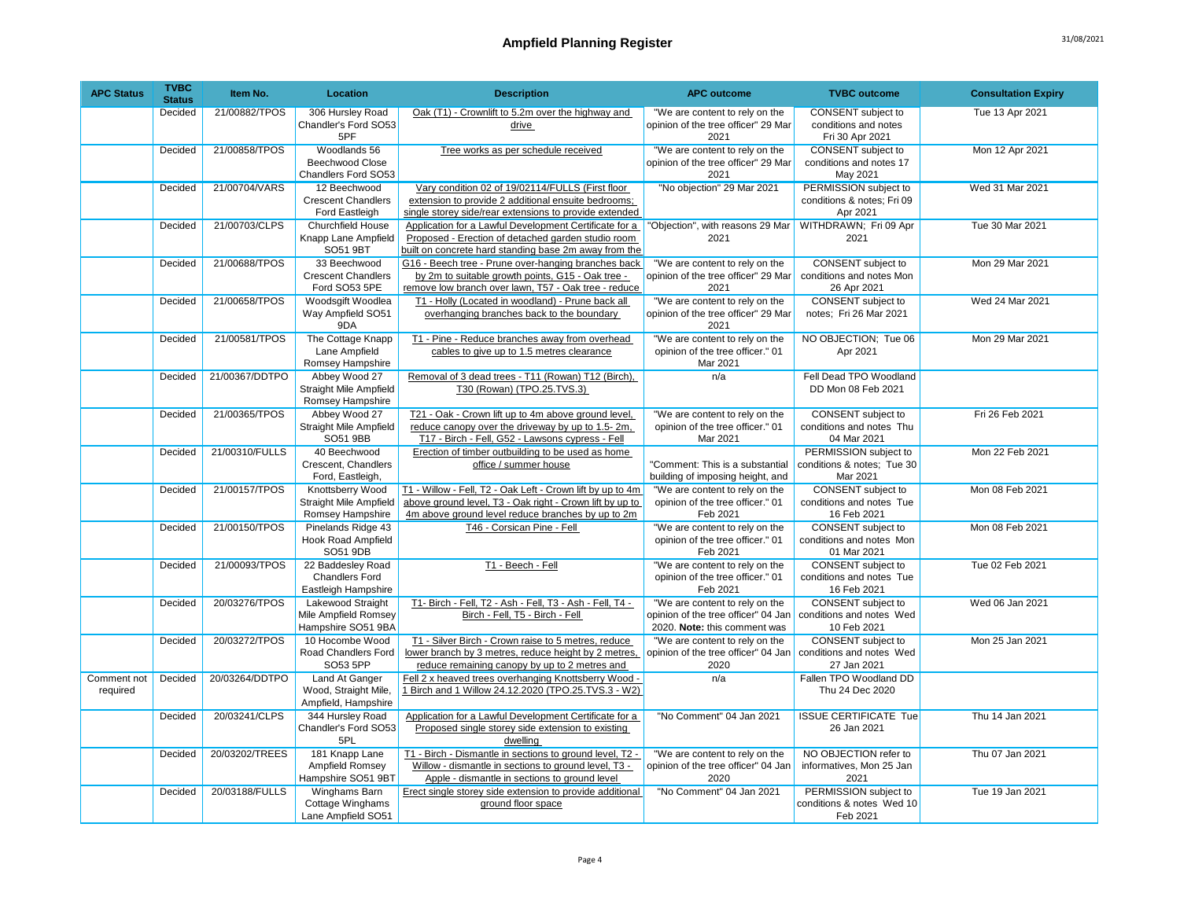| <b>APC Status</b>       | <b>TVBC</b><br><b>Status</b> | Item No.       | <b>Location</b>                                                        | <b>Description</b>                                                                                                                                                          | <b>APC outcome</b>                                                                                    | <b>TVBC</b> outcome                                                  | <b>Consultation Expiry</b> |
|-------------------------|------------------------------|----------------|------------------------------------------------------------------------|-----------------------------------------------------------------------------------------------------------------------------------------------------------------------------|-------------------------------------------------------------------------------------------------------|----------------------------------------------------------------------|----------------------------|
|                         | Decided                      | 21/00882/TPOS  | 306 Hursley Road<br>Chandler's Ford SO53<br>5PF                        | Oak (T1) - Crownlift to 5.2m over the highway and<br>drive                                                                                                                  | "We are content to rely on the<br>opinion of the tree officer" 29 Mar<br>2021                         | CONSENT subject to<br>conditions and notes<br>Fri 30 Apr 2021        | Tue 13 Apr 2021            |
|                         | Decided                      | 21/00858/TPOS  | Woodlands 56<br><b>Beechwood Close</b><br>Chandlers Ford SO53          | Tree works as per schedule received                                                                                                                                         | "We are content to rely on the<br>opinion of the tree officer" 29 Mar<br>2021                         | <b>CONSENT</b> subject to<br>conditions and notes 17<br>May 2021     | Mon 12 Apr 2021            |
|                         | Decided                      | 21/00704/VARS  | 12 Beechwood<br><b>Crescent Chandlers</b><br>Ford Eastleigh            | Vary condition 02 of 19/02114/FULLS (First floor<br>extension to provide 2 additional ensuite bedrooms;<br>single storey side/rear extensions to provide extended           | "No objection" 29 Mar 2021                                                                            | PERMISSION subject to<br>conditions & notes; Fri 09<br>Apr 2021      | Wed 31 Mar 2021            |
|                         | Decided                      | 21/00703/CLPS  | <b>Churchfield House</b><br>Knapp Lane Ampfield<br>SO51 9BT            | Application for a Lawful Development Certificate for a<br>Proposed - Erection of detached garden studio room<br>built on concrete hard standing base 2m away from the       | "Objection", with reasons 29 Mar<br>2021                                                              | WITHDRAWN; Fri 09 Apr<br>2021                                        | Tue 30 Mar 2021            |
|                         | Decided                      | 21/00688/TPOS  | 33 Beechwood<br><b>Crescent Chandlers</b><br>Ford SO53 5PE             | G16 - Beech tree - Prune over-hanging branches back<br>by 2m to suitable growth points, G15 - Oak tree -<br>remove low branch over lawn, T57 - Oak tree - reduce            | "We are content to rely on the<br>opinion of the tree officer" 29 Mar<br>2021                         | <b>CONSENT</b> subject to<br>conditions and notes Mon<br>26 Apr 2021 | Mon 29 Mar 2021            |
|                         | Decided                      | 21/00658/TPOS  | Woodsgift Woodlea<br>Way Ampfield SO51<br>9DA                          | T1 - Holly (Located in woodland) - Prune back all<br>overhanging branches back to the boundary                                                                              | "We are content to rely on the<br>opinion of the tree officer" 29 Mar<br>2021                         | <b>CONSENT</b> subject to<br>notes; Fri 26 Mar 2021                  | Wed 24 Mar 2021            |
|                         | Decided                      | 21/00581/TPOS  | The Cottage Knapp<br>Lane Ampfield<br>Romsey Hampshire                 | T1 - Pine - Reduce branches away from overhead<br>cables to give up to 1.5 metres clearance                                                                                 | "We are content to rely on the<br>opinion of the tree officer." 01<br>Mar 2021                        | NO OBJECTION; Tue 06<br>Apr 2021                                     | Mon 29 Mar 2021            |
|                         | Decided                      | 21/00367/DDTPO | Abbey Wood 27<br><b>Straight Mile Ampfield</b><br>Romsey Hampshire     | Removal of 3 dead trees - T11 (Rowan) T12 (Birch),<br>T30 (Rowan) (TPO.25.TVS.3)                                                                                            | n/a                                                                                                   | Fell Dead TPO Woodland<br>DD Mon 08 Feb 2021                         |                            |
|                         | Decided                      | 21/00365/TPOS  | Abbey Wood 27<br>Straight Mile Ampfield<br>SO51 9BB                    | T21 - Oak - Crown lift up to 4m above ground level,<br>reduce canopy over the driveway by up to 1.5-2m,<br>T17 - Birch - Fell, G52 - Lawsons cypress - Fell                 | "We are content to rely on the<br>opinion of the tree officer." 01<br>Mar 2021                        | CONSENT subject to<br>conditions and notes Thu<br>04 Mar 2021        | Fri 26 Feb 2021            |
|                         | Decided                      | 21/00310/FULLS | 40 Beechwood<br>Crescent, Chandlers<br>Ford, Eastleigh,                | Erection of timber outbuilding to be used as home<br>office / summer house                                                                                                  | "Comment: This is a substantial<br>building of imposing height, and                                   | PERMISSION subject to<br>conditions & notes; Tue 30<br>Mar 2021      | Mon 22 Feb 2021            |
|                         | Decided                      | 21/00157/TPOS  | Knottsberry Wood<br><b>Straight Mile Ampfield</b><br>Romsey Hampshire  | T1 - Willow - Fell, T2 - Oak Left - Crown lift by up to 4m<br>above ground level, T3 - Oak right - Crown lift by up to<br>4m above ground level reduce branches by up to 2m | "We are content to rely on the<br>opinion of the tree officer." 01<br>Feb 2021                        | CONSENT subject to<br>conditions and notes Tue<br>16 Feb 2021        | Mon 08 Feb 2021            |
|                         | Decided                      | 21/00150/TPOS  | Pinelands Ridge 43<br><b>Hook Road Ampfield</b><br>SO51 9DB            | T46 - Corsican Pine - Fell                                                                                                                                                  | "We are content to rely on the<br>opinion of the tree officer." 01<br>Feb 2021                        | CONSENT subject to<br>conditions and notes Mon<br>01 Mar 2021        | Mon 08 Feb 2021            |
|                         | Decided                      | 21/00093/TPOS  | 22 Baddesley Road<br><b>Chandlers Ford</b><br>Eastleigh Hampshire      | T1 - Beech - Fell                                                                                                                                                           | "We are content to rely on the<br>opinion of the tree officer." 01<br>Feb 2021                        | <b>CONSENT</b> subject to<br>conditions and notes Tue<br>16 Feb 2021 | Tue 02 Feb 2021            |
|                         | Decided                      | 20/03276/TPOS  | <b>Lakewood Straight</b><br>Mile Ampfield Romsey<br>Hampshire SO51 9BA | T1- Birch - Fell, T2 - Ash - Fell, T3 - Ash - Fell, T4 -<br>Birch - Fell, T5 - Birch - Fell                                                                                 | "We are content to rely on the<br>opinion of the tree officer" 04 Jan<br>2020. Note: this comment was | CONSENT subject to<br>conditions and notes Wed<br>10 Feb 2021        | Wed 06 Jan 2021            |
|                         | Decided                      | 20/03272/TPOS  | 10 Hocombe Wood<br>Road Chandlers Ford<br>SO53 5PP                     | T1 - Silver Birch - Crown raise to 5 metres, reduce<br>lower branch by 3 metres, reduce height by 2 metres,<br>reduce remaining canopy by up to 2 metres and                | "We are content to rely on the<br>opinion of the tree officer" 04 Jan<br>2020                         | CONSENT subject to<br>conditions and notes Wed<br>27 Jan 2021        | Mon 25 Jan 2021            |
| Comment not<br>required | Decided                      | 20/03264/DDTPO | Land At Ganger<br>Wood, Straight Mile,<br>Ampfield, Hampshire          | Fell 2 x heaved trees overhanging Knottsberry Wood -<br>1 Birch and 1 Willow 24.12.2020 (TPO.25.TVS.3 - W2)                                                                 | n/a                                                                                                   | Fallen TPO Woodland DD<br>Thu 24 Dec 2020                            |                            |
|                         | Decided                      | 20/03241/CLPS  | 344 Hursley Road<br>Chandler's Ford SO53<br>5PL                        | Application for a Lawful Development Certificate for a<br>Proposed single storey side extension to existing<br>dwelling                                                     | "No Comment" 04 Jan 2021                                                                              | <b>ISSUE CERTIFICATE Tue</b><br>26 Jan 2021                          | Thu 14 Jan 2021            |
|                         | Decided                      | 20/03202/TREES | 181 Knapp Lane<br>Ampfield Romsey<br>Hampshire SO51 9BT                | T1 - Birch - Dismantle in sections to ground level, T2 -<br>Willow - dismantle in sections to ground level, T3 -<br>Apple - dismantle in sections to ground level           | "We are content to rely on the<br>opinion of the tree officer" 04 Jan<br>2020                         | NO OBJECTION refer to<br>informatives, Mon 25 Jan<br>2021            | Thu 07 Jan 2021            |
|                         | Decided                      | 20/03188/FULLS | Winghams Barn<br>Cottage Winghams<br>Lane Ampfield SO51                | Erect single storey side extension to provide additional<br>ground floor space                                                                                              | "No Comment" 04 Jan 2021                                                                              | PERMISSION subject to<br>conditions & notes Wed 10<br>Feb 2021       | Tue 19 Jan 2021            |

9BE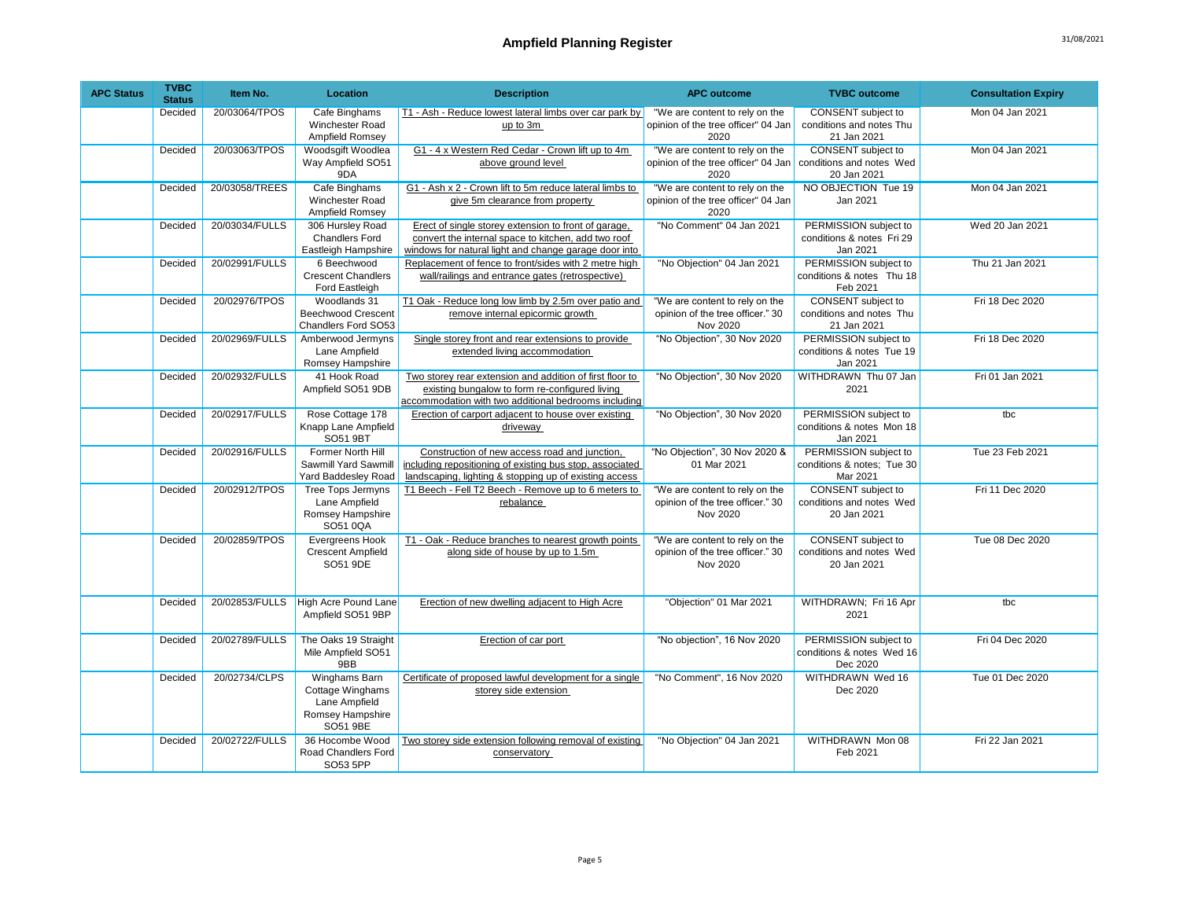| <b>APC Status</b> | <b>TVBC</b><br><b>Status</b> | Item No.       | Location                                                                           | <b>Description</b>                                                                                                                                                   | <b>APC outcome</b>                                                             | <b>TVBC</b> outcome                                                  | <b>Consultation Expiry</b> |
|-------------------|------------------------------|----------------|------------------------------------------------------------------------------------|----------------------------------------------------------------------------------------------------------------------------------------------------------------------|--------------------------------------------------------------------------------|----------------------------------------------------------------------|----------------------------|
|                   | Decided                      | 20/03064/TPOS  | Cafe Binghams<br>Winchester Road<br>Ampfield Romsey                                | T1 - Ash - Reduce lowest lateral limbs over car park by<br>up to 3m                                                                                                  | "We are content to rely on the<br>opinion of the tree officer" 04 Jan<br>2020  | CONSENT subject to<br>conditions and notes Thu<br>21 Jan 2021        | Mon 04 Jan 2021            |
|                   | Decided                      | 20/03063/TPOS  | Woodsgift Woodlea<br>Way Ampfield SO51<br>9DA                                      | G1 - 4 x Western Red Cedar - Crown lift up to 4m<br>above ground level                                                                                               | "We are content to rely on the<br>opinion of the tree officer" 04 Jan<br>2020  | <b>CONSENT</b> subject to<br>conditions and notes Wed<br>20 Jan 2021 | Mon 04 Jan 2021            |
|                   | Decided                      | 20/03058/TREES | Cafe Binghams<br>Winchester Road<br>Ampfield Romsey                                | G1 - Ash x 2 - Crown lift to 5m reduce lateral limbs to<br>give 5m clearance from property                                                                           | "We are content to rely on the<br>opinion of the tree officer" 04 Jan<br>2020  | NO OBJECTION Tue 19<br>Jan 2021                                      | Mon 04 Jan 2021            |
|                   | Decided                      | 20/03034/FULLS | 306 Hursley Road<br><b>Chandlers Ford</b><br>Eastleigh Hampshire                   | Erect of single storey extension to front of garage,<br>convert the internal space to kitchen, add two roof<br>windows for natural light and change garage door into | "No Comment" 04 Jan 2021                                                       | PERMISSION subject to<br>conditions & notes Fri 29<br>Jan 2021       | Wed 20 Jan 2021            |
|                   | Decided                      | 20/02991/FULLS | 6 Beechwood<br><b>Crescent Chandlers</b><br>Ford Eastleigh                         | Replacement of fence to front/sides with 2 metre high<br>wall/railings and entrance gates (retrospective)                                                            | "No Objection" 04 Jan 2021                                                     | PERMISSION subject to<br>conditions & notes Thu 18<br>Feb 2021       | Thu 21 Jan 2021            |
|                   | Decided                      | 20/02976/TPOS  | Woodlands 31<br><b>Beechwood Crescent</b><br>Chandlers Ford SO53                   | T1 Oak - Reduce long low limb by 2.5m over patio and<br>remove internal epicormic growth                                                                             | "We are content to rely on the<br>opinion of the tree officer." 30<br>Nov 2020 | CONSENT subject to<br>conditions and notes Thu<br>21 Jan 2021        | Fri 18 Dec 2020            |
|                   | Decided                      | 20/02969/FULLS | Amberwood Jermyns<br>Lane Ampfield<br>Romsey Hampshire                             | Single storey front and rear extensions to provide<br>extended living accommodation                                                                                  | "No Objection", 30 Nov 2020                                                    | PERMISSION subject to<br>conditions & notes Tue 19<br>Jan 2021       | Fri 18 Dec 2020            |
|                   | Decided                      | 20/02932/FULLS | 41 Hook Road<br>Ampfield SO51 9DB                                                  | Two storey rear extension and addition of first floor to<br>existing bungalow to form re-configured living<br>accommodation with two additional bedrooms including   | "No Objection", 30 Nov 2020                                                    | WITHDRAWN Thu 07 Jan<br>2021                                         | Fri 01 Jan 2021            |
|                   | Decided                      | 20/02917/FULLS | Rose Cottage 178<br>Knapp Lane Ampfield<br>SO51 9BT                                | Erection of carport adjacent to house over existing<br>driveway                                                                                                      | "No Objection", 30 Nov 2020                                                    | PERMISSION subject to<br>conditions & notes Mon 18<br>Jan 2021       | tbc                        |
|                   | Decided                      | 20/02916/FULLS | Former North Hill<br>Sawmill Yard Sawmill<br>Yard Baddesley Road                   | Construction of new access road and junction,<br>including repositioning of existing bus stop, associated<br>landscaping, lighting & stopping up of existing access  | "No Objection", 30 Nov 2020 &<br>01 Mar 2021                                   | PERMISSION subject to<br>conditions & notes; Tue 30<br>Mar 2021      | Tue 23 Feb 2021            |
|                   | Decided                      | 20/02912/TPOS  | <b>Tree Tops Jermyns</b><br>Lane Ampfield<br>Romsey Hampshire<br>SO51 0QA          | T1 Beech - Fell T2 Beech - Remove up to 6 meters to<br>rebalance                                                                                                     | "We are content to rely on the<br>opinion of the tree officer." 30<br>Nov 2020 | CONSENT subject to<br>conditions and notes Wed<br>20 Jan 2021        | Fri 11 Dec 2020            |
|                   | Decided                      | 20/02859/TPOS  | Evergreens Hook<br><b>Crescent Ampfield</b><br>SO51 9DE                            | T1 - Oak - Reduce branches to nearest growth points<br>along side of house by up to 1.5m                                                                             | "We are content to rely on the<br>opinion of the tree officer." 30<br>Nov 2020 | CONSENT subject to<br>conditions and notes Wed<br>20 Jan 2021        | Tue 08 Dec 2020            |
|                   | Decided                      | 20/02853/FULLS | High Acre Pound Lane<br>Ampfield SO51 9BP                                          | Erection of new dwelling adjacent to High Acre                                                                                                                       | "Objection" 01 Mar 2021                                                        | WITHDRAWN; Fri 16 Apr<br>2021                                        | tbc                        |
|                   | Decided                      | 20/02789/FULLS | The Oaks 19 Straight<br>Mile Ampfield SO51<br>9BB                                  | Erection of car port                                                                                                                                                 | "No objection", 16 Nov 2020                                                    | PERMISSION subject to<br>conditions & notes Wed 16<br>Dec 2020       | Fri 04 Dec 2020            |
|                   | Decided                      | 20/02734/CLPS  | Winghams Barn<br>Cottage Winghams<br>Lane Ampfield<br>Romsey Hampshire<br>SO51 9BE | Certificate of proposed lawful development for a single<br>storey side extension                                                                                     | "No Comment", 16 Nov 2020                                                      | WITHDRAWN Wed 16<br>Dec 2020                                         | Tue 01 Dec 2020            |
|                   | Decided                      | 20/02722/FULLS | 36 Hocombe Wood<br>Road Chandlers Ford<br>SO53 5PP                                 | Two storey side extension following removal of existing<br>conservatory                                                                                              | "No Objection" 04 Jan 2021                                                     | WITHDRAWN Mon 08<br>Feb 2021                                         | Fri 22 Jan 2021            |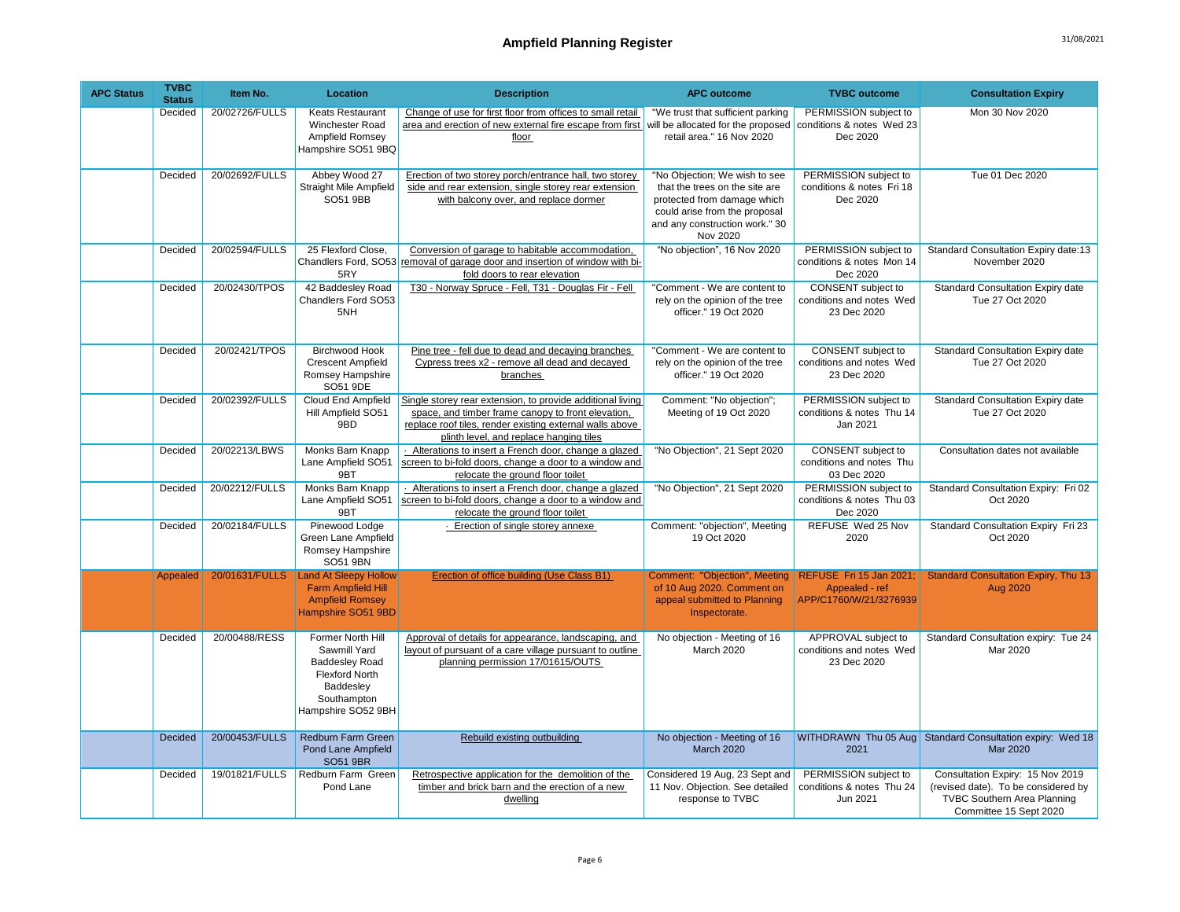| <b>APC Status</b> | <b>TVBC</b><br><b>Status</b> | Item No.       | <b>Location</b>                                                                                                                       | <b>Description</b>                                                                                                                                                                                                      | <b>APC outcome</b>                                                                                                                                                            | <b>TVBC</b> outcome                                                 | <b>Consultation Expiry</b>                                                                                                              |
|-------------------|------------------------------|----------------|---------------------------------------------------------------------------------------------------------------------------------------|-------------------------------------------------------------------------------------------------------------------------------------------------------------------------------------------------------------------------|-------------------------------------------------------------------------------------------------------------------------------------------------------------------------------|---------------------------------------------------------------------|-----------------------------------------------------------------------------------------------------------------------------------------|
|                   | Decided                      | 20/02726/FULLS | <b>Keats Restaurant</b><br><b>Winchester Road</b><br>Ampfield Romsey<br>Hampshire SO51 9BQ                                            | Change of use for first floor from offices to small retail<br>area and erection of new external fire escape from first will be allocated for the proposed<br>floor                                                      | "We trust that sufficient parking<br>retail area." 16 Nov 2020                                                                                                                | PERMISSION subject to<br>conditions & notes Wed 23<br>Dec 2020      | Mon 30 Nov 2020                                                                                                                         |
|                   | Decided                      | 20/02692/FULLS | Abbey Wood 27<br>Straight Mile Ampfield<br>SO51 9BB                                                                                   | Erection of two storey porch/entrance hall, two storey<br>side and rear extension, single storey rear extension<br>with balcony over, and replace dormer                                                                | "No Objection; We wish to see<br>that the trees on the site are<br>protected from damage which<br>could arise from the proposal<br>and any construction work." 30<br>Nov 2020 | PERMISSION subject to<br>conditions & notes Fri 18<br>Dec 2020      | Tue 01 Dec 2020                                                                                                                         |
|                   | Decided                      | 20/02594/FULLS | 25 Flexford Close,<br>5RY                                                                                                             | Conversion of garage to habitable accommodation,<br>Chandlers Ford, SO53 removal of garage door and insertion of window with bi-<br>fold doors to rear elevation                                                        | "No objection", 16 Nov 2020                                                                                                                                                   | PERMISSION subject to<br>conditions & notes Mon 14<br>Dec 2020      | Standard Consultation Expiry date:13<br>November 2020                                                                                   |
|                   | Decided                      | 20/02430/TPOS  | 42 Baddesley Road<br>Chandlers Ford SO53<br>5NH                                                                                       | T30 - Norway Spruce - Fell, T31 - Douglas Fir - Fell                                                                                                                                                                    | "Comment - We are content to<br>rely on the opinion of the tree<br>officer." 19 Oct 2020                                                                                      | CONSENT subject to<br>conditions and notes Wed<br>23 Dec 2020       | Standard Consultation Expiry date<br>Tue 27 Oct 2020                                                                                    |
|                   | Decided                      | 20/02421/TPOS  | <b>Birchwood Hook</b><br><b>Crescent Ampfield</b><br>Romsey Hampshire<br>SO51 9DE                                                     | Pine tree - fell due to dead and decaying branches<br>Cypress trees x2 - remove all dead and decayed<br>branches                                                                                                        | "Comment - We are content to<br>rely on the opinion of the tree<br>officer." 19 Oct 2020                                                                                      | CONSENT subject to<br>conditions and notes Wed<br>23 Dec 2020       | <b>Standard Consultation Expiry date</b><br>Tue 27 Oct 2020                                                                             |
|                   | Decided                      | 20/02392/FULLS | Cloud End Ampfield<br>Hill Ampfield SO51<br>9BD                                                                                       | Single storey rear extension, to provide additional living<br>space, and timber frame canopy to front elevation,<br>replace roof tiles, render existing external walls above<br>plinth level, and replace hanging tiles | Comment: "No objection";<br>Meeting of 19 Oct 2020                                                                                                                            | PERMISSION subject to<br>conditions & notes Thu 14<br>Jan 2021      | <b>Standard Consultation Expiry date</b><br>Tue 27 Oct 2020                                                                             |
|                   | Decided                      | 20/02213/LBWS  | Monks Barn Knapp<br>Lane Ampfield SO51<br>9BT                                                                                         | - Alterations to insert a French door, change a glazed<br>screen to bi-fold doors, change a door to a window and<br>relocate the ground floor toilet                                                                    | "No Objection", 21 Sept 2020                                                                                                                                                  | CONSENT subject to<br>conditions and notes Thu<br>03 Dec 2020       | Consultation dates not available                                                                                                        |
|                   | Decided                      | 20/02212/FULLS | Monks Barn Knapp<br>Lane Ampfield SO51<br>9BT                                                                                         | Alterations to insert a French door, change a glazed<br>screen to bi-fold doors, change a door to a window and<br>relocate the ground floor toilet                                                                      | "No Objection", 21 Sept 2020                                                                                                                                                  | PERMISSION subject to<br>conditions & notes Thu 03<br>Dec 2020      | Standard Consultation Expiry: Fri 02<br>Oct 2020                                                                                        |
|                   | Decided                      | 20/02184/FULLS | Pinewood Lodge<br>Green Lane Ampfield<br>Romsey Hampshire<br>SO51 9BN                                                                 | - Erection of single storey annexe                                                                                                                                                                                      | Comment: "objection", Meeting<br>19 Oct 2020                                                                                                                                  | REFUSE Wed 25 Nov<br>2020                                           | Standard Consultation Expiry Fri 23<br>Oct 2020                                                                                         |
|                   | Appealed                     | 20/01631/FULLS | <b>Land At Sleepy Hollow</b><br>Farm Ampfield Hill<br><b>Ampfield Romsey</b><br>Hampshire SO51 9BD                                    | Erection of office building (Use Class B1)                                                                                                                                                                              | Comment: "Objection", Meeting<br>of 10 Aug 2020. Comment on<br>appeal submitted to Planning<br>Inspectorate.                                                                  | REFUSE Fri 15 Jan 2021;<br>Appealed - ref<br>APP/C1760/W/21/3276939 | <b>Standard Consultation Expiry, Thu 13</b><br>Aug 2020                                                                                 |
|                   | Decided                      | 20/00488/RESS  | Former North Hill<br>Sawmill Yard<br><b>Baddesley Road</b><br><b>Flexford North</b><br>Baddesley<br>Southampton<br>Hampshire SO52 9BH | Approval of details for appearance, landscaping, and<br>layout of pursuant of a care village pursuant to outline<br>planning permission 17/01615/OUTS                                                                   | No objection - Meeting of 16<br>March 2020                                                                                                                                    | APPROVAL subject to<br>conditions and notes Wed<br>23 Dec 2020      | Standard Consultation expiry: Tue 24<br>Mar 2020                                                                                        |
|                   | Decided                      | 20/00453/FULLS | Redburn Farm Green<br>Pond Lane Ampfield<br><b>SO51 9BR</b>                                                                           | Rebuild existing outbuilding                                                                                                                                                                                            | No objection - Meeting of 16<br><b>March 2020</b>                                                                                                                             | 2021                                                                | WITHDRAWN Thu 05 Aug Standard Consultation expiry: Wed 18<br>Mar 2020                                                                   |
|                   | Decided                      | 19/01821/FULLS | Redburn Farm Green<br>Pond Lane                                                                                                       | Retrospective application for the demolition of the<br>timber and brick barn and the erection of a new<br>dwelling                                                                                                      | Considered 19 Aug, 23 Sept and<br>11 Nov. Objection. See detailed<br>response to TVBC                                                                                         | PERMISSION subject to<br>conditions & notes Thu 24<br>Jun 2021      | Consultation Expiry: 15 Nov 2019<br>(revised date). To be considered by<br><b>TVBC Southern Area Planning</b><br>Committee 15 Sept 2020 |